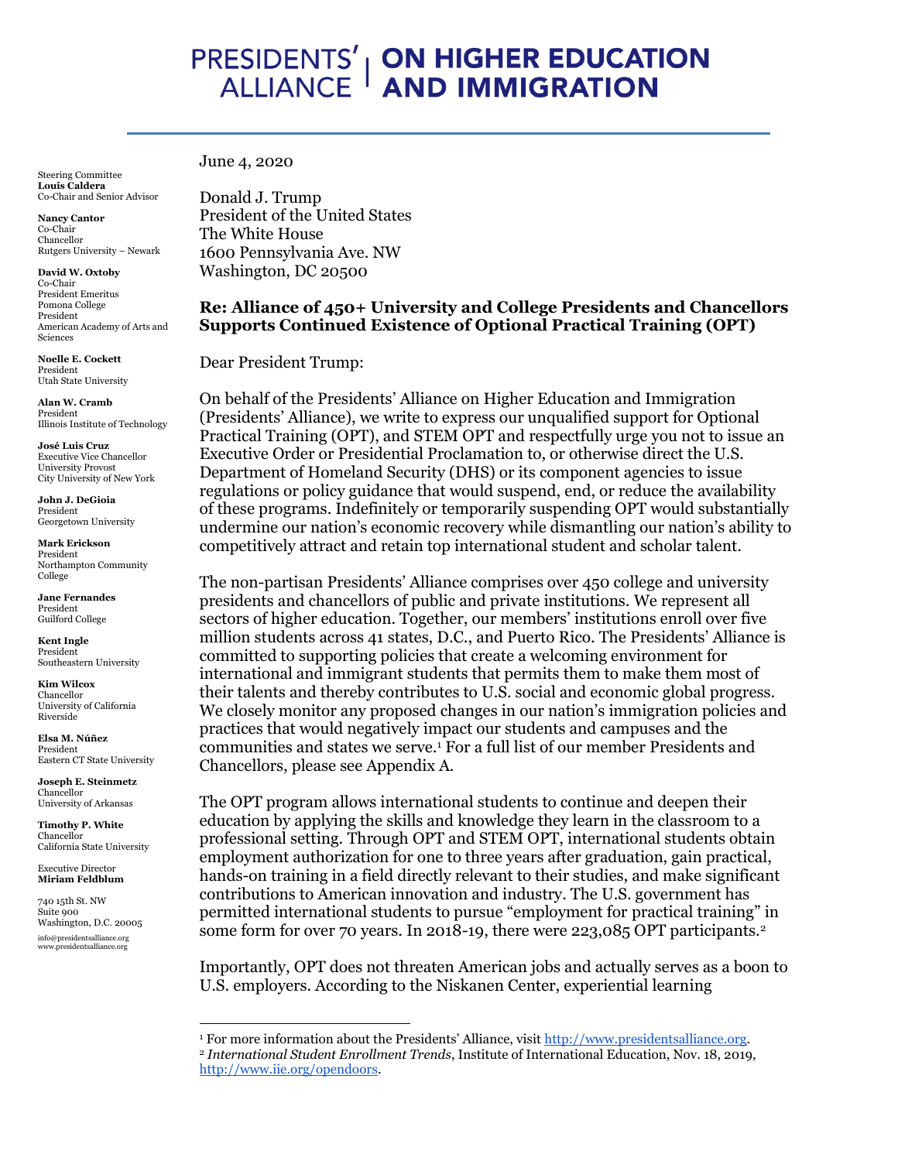# PRESIDENTS' | **ON HIGHER EDUCATION**<br>ALLIANCE **| AND IMMIGRATION**

Steering Committee **Louis Caldera**  Co-Chair and Senior Advisor

**Nancy Cantor** Co-Chair Chancellor Rutgers University – Newark

**David W. Oxtoby** Co-Chair President Emeritus Pomona College President American Academy of Arts and Sciences

**Noelle E. Cockett**  President Utah State University

**Alan W. Cramb** President Illinois Institute of Technology

**José Luis Cruz** Executive Vice Chancellor University Provost City University of New York

**John J. DeGioia**  President Georgetown University

**Mark Erickson** President Northampton Community College

**Jane Fernandes** President Guilford College

**Kent Ingle**  President Southeastern University

**Kim Wilcox** Chancellor University of California Riverside

**Elsa M. Núñez** President Eastern CT State University

**Joseph E. Steinmetz** Chancellor University of Arkansas

**Timothy P. White**  Chancellor California State University

Executive Director **Miriam Feldblum**

740 15th St. NW Suite 000 Washington, D.C. 20005 info@presidentsalliance.org www.presidentsalliance.org

June 4, 2020

Donald J. Trump President of the United States The White House 1600 Pennsylvania Ave. NW Washington, DC 20500

# **Re: Alliance of 450+ University and College Presidents and Chancellors Supports Continued Existence of Optional Practical Training (OPT)**

Dear President Trump:

On behalf of the Presidents' Alliance on Higher Education and Immigration (Presidents' Alliance), we write to express our unqualified support for Optional Practical Training (OPT), and STEM OPT and respectfully urge you not to issue an Executive Order or Presidential Proclamation to, or otherwise direct the U.S. Department of Homeland Security (DHS) or its component agencies to issue regulations or policy guidance that would suspend, end, or reduce the availability of these programs. Indefinitely or temporarily suspending OPT would substantially undermine our nation's economic recovery while dismantling our nation's ability to competitively attract and retain top international student and scholar talent.

The non-partisan Presidents' Alliance comprises over 450 college and university presidents and chancellors of public and private institutions. We represent all sectors of higher education. Together, our members' institutions enroll over five million students across 41 states, D.C., and Puerto Rico. The Presidents' Alliance is committed to supporting policies that create a welcoming environment for international and immigrant students that permits them to make them most of their talents and thereby contributes to U.S. social and economic global progress. We closely monitor any proposed changes in our nation's immigration policies and practices that would negatively impact our students and campuses and the communities and states we serve.<sup>1</sup> For a full list of our member Presidents and Chancellors, please see Appendix A.

The OPT program allows international students to continue and deepen their education by applying the skills and knowledge they learn in the classroom to a professional setting. Through OPT and STEM OPT, international students obtain employment authorization for one to three years after graduation, gain practical, hands-on training in a field directly relevant to their studies, and make significant contributions to American innovation and industry. The U.S. government has permitted international students to pursue "employment for practical training" in some form for over 70 years. In 2018-19, there were 223,085 OPT participants.<sup>2</sup>

Importantly, OPT does not threaten American jobs and actually serves as a boon to U.S. employers. According to the Niskanen Center, experiential learning

<sup>1</sup> For more information about the Presidents' Alliance, visit [http://www.presidentsalliance.org.](http://www.presidentsalliance.org/)

<sup>2</sup> *International Student Enrollment Trends*, Institute of International Education, Nov. 18, 2019, [http://www.iie.org/opendoors.](http://www.iie.org/opendoors)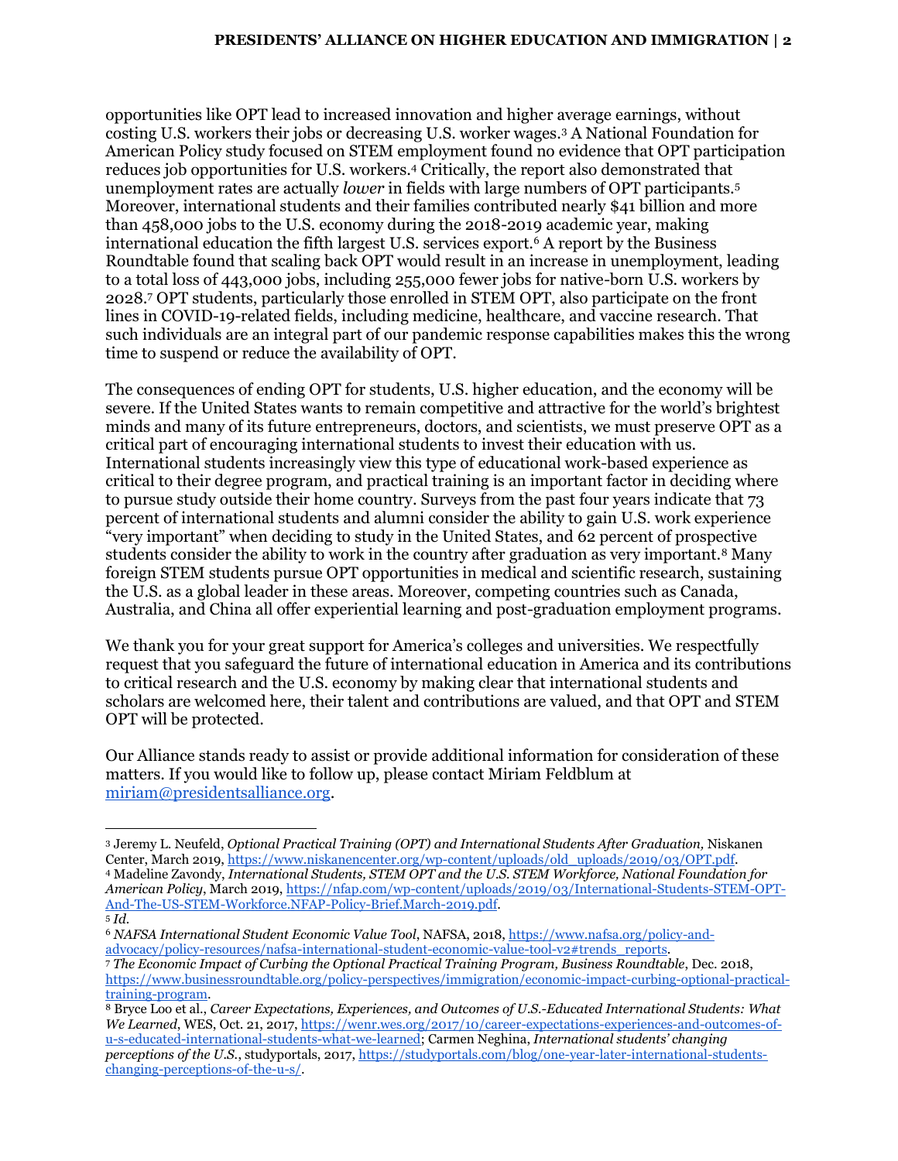opportunities like OPT lead to increased innovation and higher average earnings, without costing U.S. workers their jobs or decreasing U.S. worker wages.<sup>3</sup> A National Foundation for American Policy study focused on STEM employment found no evidence that OPT participation reduces job opportunities for U.S. workers.<sup>4</sup> Critically, the report also demonstrated that unemployment rates are actually *lower* in fields with large numbers of OPT participants.<sup>5</sup> Moreover, international students and their families contributed nearly \$41 billion and more than 458,000 jobs to the U.S. economy during the 2018-2019 academic year, making international education the fifth largest U.S. services export.<sup>6</sup> A report by the Business Roundtable found that scaling back OPT would result in an increase in unemployment, leading to a total loss of 443,000 jobs, including 255,000 fewer jobs for native-born U.S. workers by 2028.<sup>7</sup> OPT students, particularly those enrolled in STEM OPT, also participate on the front lines in COVID-19-related fields, including medicine, healthcare, and vaccine research. That such individuals are an integral part of our pandemic response capabilities makes this the wrong time to suspend or reduce the availability of OPT.

The consequences of ending OPT for students, U.S. higher education, and the economy will be severe. If the United States wants to remain competitive and attractive for the world's brightest minds and many of its future entrepreneurs, doctors, and scientists, we must preserve OPT as a critical part of encouraging international students to invest their education with us. International students increasingly view this type of educational work-based experience as critical to their degree program, and practical training is an important factor in deciding where to pursue study outside their home country. Surveys from the past four years indicate that 73 percent of international students and alumni consider the ability to gain U.S. work experience "very important" when deciding to study in the United States, and 62 percent of prospective students consider the ability to work in the country after graduation as very important.<sup>8</sup> Many foreign STEM students pursue OPT opportunities in medical and scientific research, sustaining the U.S. as a global leader in these areas. Moreover, competing countries such as Canada, Australia, and China all offer experiential learning and post-graduation employment programs.

We thank you for your great support for America's colleges and universities. We respectfully request that you safeguard the future of international education in America and its contributions to critical research and the U.S. economy by making clear that international students and scholars are welcomed here, their talent and contributions are valued, and that OPT and STEM OPT will be protected.

Our Alliance stands ready to assist or provide additional information for consideration of these matters. If you would like to follow up, please contact Miriam Feldblum at [miriam@presidentsalliance.org.](mailto:miriam@presidentsalliance.org)

<sup>3</sup> Jeremy L. Neufeld, *Optional Practical Training (OPT) and International Students After Graduation,* Niskanen Center, March 2019[, https://www.niskanencenter.org/wp-content/uploads/old\\_uploads/2019/03/OPT.pdf.](https://www.niskanencenter.org/wp-content/uploads/old_uploads/2019/03/OPT.pdf) <sup>4</sup> Madeline Zavondy, *International Students, STEM OPT and the U.S. STEM Workforce, National Foundation for American Policy*, March 2019, [https://nfap.com/wp-content/uploads/2019/03/International-Students-STEM-OPT-](https://nfap.com/wp-content/uploads/2019/03/International-Students-STEM-OPT-And-The-US-STEM-Workforce.NFAP-Policy-Brief.March-2019.pdf)[And-The-US-STEM-Workforce.NFAP-Policy-Brief.March-2019.pdf.](https://nfap.com/wp-content/uploads/2019/03/International-Students-STEM-OPT-And-The-US-STEM-Workforce.NFAP-Policy-Brief.March-2019.pdf)  <sup>5</sup> *Id.*

<sup>6</sup> *NAFSA International Student Economic Value Tool*, NAFSA, 2018, [https://www.nafsa.org/policy-and](https://www.nafsa.org/policy-and-advocacy/policy-resources/nafsa-international-student-economic-value-tool-v2#trends_reports)[advocacy/policy-resources/nafsa-international-student-economic-value-tool-v2#trends\\_reports.](https://www.nafsa.org/policy-and-advocacy/policy-resources/nafsa-international-student-economic-value-tool-v2#trends_reports)

<sup>7</sup> *The Economic Impact of Curbing the Optional Practical Training Program, Business Roundtable*, Dec. 2018, [https://www.businessroundtable.org/policy-perspectives/immigration/economic-impact-curbing-optional-practical](https://www.businessroundtable.org/policy-perspectives/immigration/economic-impact-curbing-optional-practical-training-program)[training-program.](https://www.businessroundtable.org/policy-perspectives/immigration/economic-impact-curbing-optional-practical-training-program)

<sup>8</sup> Bryce Loo et al., *Career Expectations, Experiences, and Outcomes of U.S.-Educated International Students: What We Learned*, WES, Oct. 21, 2017[, https://wenr.wes.org/2017/10/career-expectations-experiences-and-outcomes-of](https://wenr.wes.org/2017/10/career-expectations-experiences-and-outcomes-of-u-s-educated-international-students-what-we-learned)[u-s-educated-international-students-what-we-learned;](https://wenr.wes.org/2017/10/career-expectations-experiences-and-outcomes-of-u-s-educated-international-students-what-we-learned) Carmen Neghina, *International students' changing perceptions of the U.S.*, studyportals, 2017[, https://studyportals.com/blog/one-year-later-international-students](https://studyportals.com/blog/one-year-later-international-students-changing-perceptions-of-the-u-s/)[changing-perceptions-of-the-u-s/.](https://studyportals.com/blog/one-year-later-international-students-changing-perceptions-of-the-u-s/)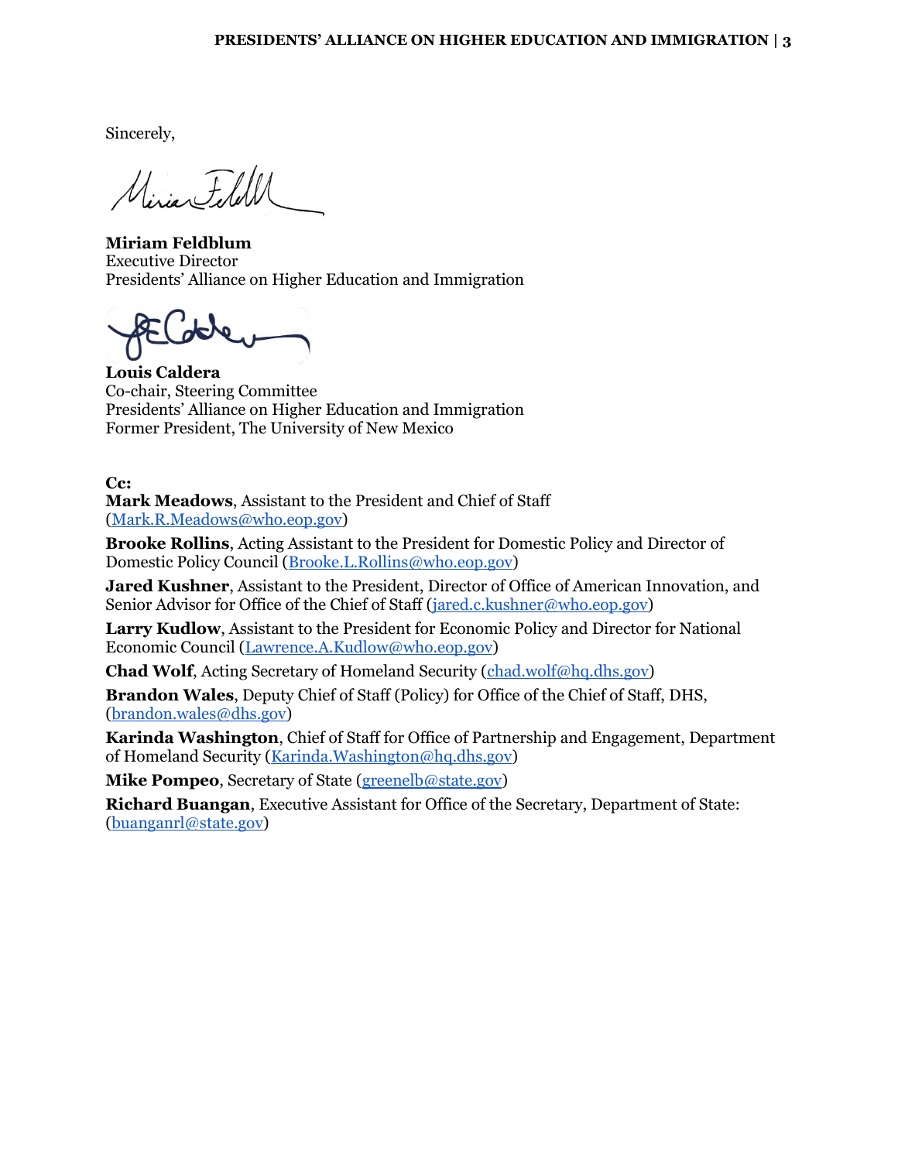Sincerely,

Uisian FileU

**Miriam Feldblum** Executive Director Presidents' Alliance on Higher Education and Immigration

**Louis Caldera** Co-chair, Steering Committee Presidents' Alliance on Higher Education and Immigration Former President, The University of New Mexico

**Cc:**

**Mark Meadows**, Assistant to the President and Chief of Staff [\(Mark.R.Meadows@who.eop.gov\)](mailto:Mark.R.Meadows@who.eop.gov)

**Brooke Rollins**, Acting Assistant to the President for Domestic Policy and Director of Domestic Policy Council [\(Brooke.L.Rollins@who.eop.gov\)](mailto:Brooke.L.Rollins@who.eop.gov)

**Jared Kushner**, Assistant to the President, Director of Office of American Innovation, and Senior Advisor for Office of the Chief of Staff [\(jared.c.kushner@who.eop.gov\)](mailto:jared.c.kushner@who.eop.gov)

**Larry Kudlow**, Assistant to the President for Economic Policy and Director for National Economic Council [\(Lawrence.A.Kudlow@who.eop.gov\)](mailto:Lawrence.A.Kudlow@who.eop.gov)

**Chad Wolf**, Acting Secretary of Homeland Security [\(chad.wolf@hq.dhs.gov\)](mailto:chad.wolf@hq.dhs.gov)

**Brandon Wales**, Deputy Chief of Staff (Policy) for Office of the Chief of Staff, DHS, [\(brandon.wales@dhs.gov\)](mailto:brandon.wales@dhs.gov)

**Karinda Washington**, Chief of Staff for Office of Partnership and Engagement, Department of Homeland Security [\(Karinda.Washington@hq.dhs.gov\)](mailto:Karinda.Washington@hq.dhs.gov)

**Mike Pompeo**, Secretary of State [\(greenelb@state.gov\)](mailto:greenelb@state.gov)

**Richard Buangan**, Executive Assistant for Office of the Secretary, Department of State: [\(buanganrl@state.gov\)](mailto:buanganrl@state.gov)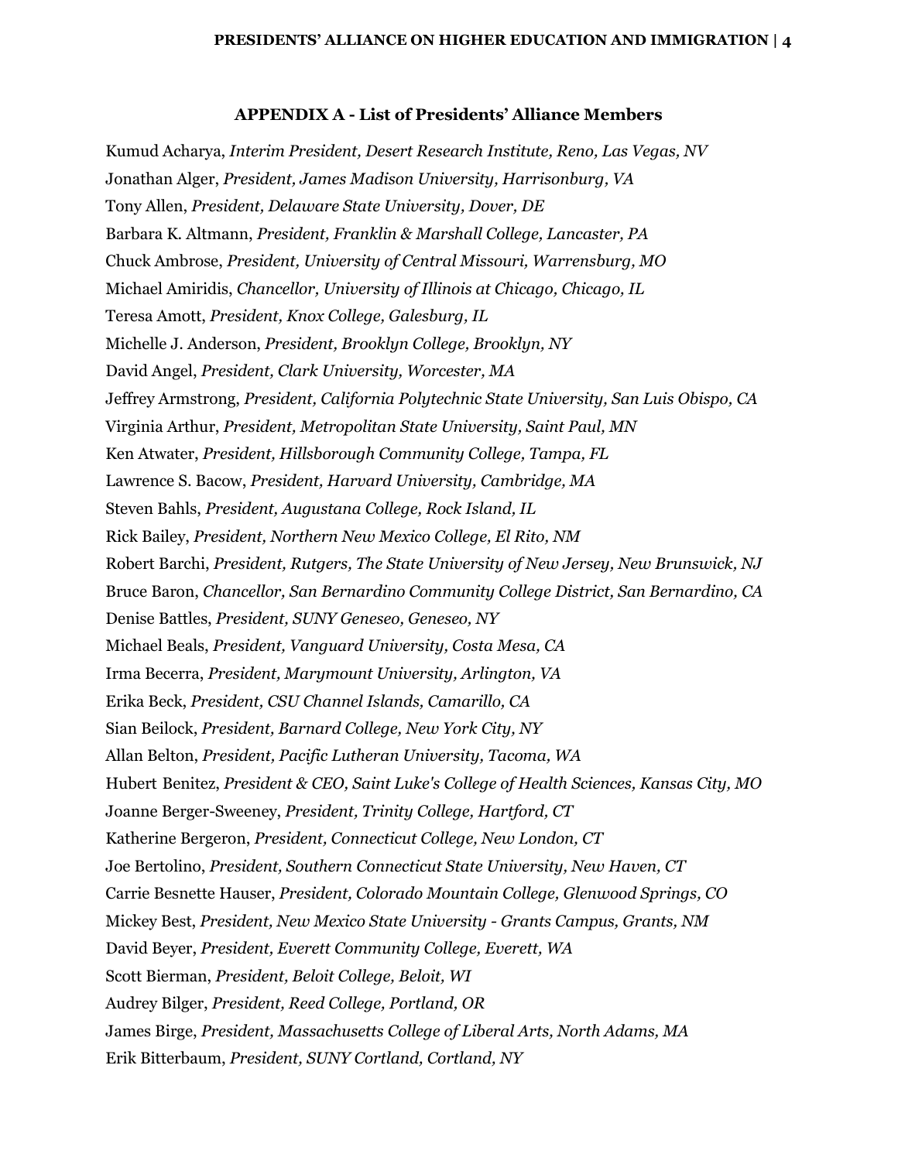## **APPENDIX A - List of Presidents' Alliance Members**

Kumud Acharya, *Interim President, Desert Research Institute, Reno, Las Vegas, NV* Jonathan Alger, *President, James Madison University, Harrisonburg, VA* Tony Allen, *President, Delaware State University, Dover, DE* Barbara K. Altmann, *President, Franklin & Marshall College, Lancaster, PA* Chuck Ambrose, *President, University of Central Missouri, Warrensburg, MO* Michael Amiridis, *Chancellor, University of Illinois at Chicago, Chicago, IL* Teresa Amott, *President, Knox College, Galesburg, IL* Michelle J. Anderson, *President, Brooklyn College, Brooklyn, NY* David Angel, *President, Clark University, Worcester, MA* Jeffrey Armstrong, *President, California Polytechnic State University, San Luis Obispo, CA* Virginia Arthur, *President, Metropolitan State University, Saint Paul, MN* Ken Atwater, *President, Hillsborough Community College, Tampa, FL* Lawrence S. Bacow, *President, Harvard University, Cambridge, MA* Steven Bahls, *President, Augustana College, Rock Island, IL* Rick Bailey, *President, Northern New Mexico College, El Rito, NM* Robert Barchi, *President, Rutgers, The State University of New Jersey, New Brunswick, NJ* Bruce Baron, *Chancellor, San Bernardino Community College District, San Bernardino, CA* Denise Battles, *President, SUNY Geneseo, Geneseo, NY* Michael Beals, *President, Vanguard University, Costa Mesa, CA* Irma Becerra, *President, Marymount University, Arlington, VA* Erika Beck, *President, CSU Channel Islands, Camarillo, CA* Sian Beilock, *President, Barnard College, New York City, NY* Allan Belton, *President, Pacific Lutheran University, Tacoma, WA* Hubert Benitez, *President & CEO, Saint Luke's College of Health Sciences, Kansas City, MO* Joanne Berger-Sweeney, *President, Trinity College, Hartford, CT* Katherine Bergeron, *President, Connecticut College, New London, CT* Joe Bertolino, *President, Southern Connecticut State University, New Haven, CT* Carrie Besnette Hauser, *President, Colorado Mountain College, Glenwood Springs, CO* Mickey Best, *President, New Mexico State University - Grants Campus, Grants, NM* David Beyer, *President, Everett Community College, Everett, WA* Scott Bierman, *President, Beloit College, Beloit, WI* Audrey Bilger, *President, Reed College, Portland, OR* James Birge, *President, Massachusetts College of Liberal Arts, North Adams, MA* Erik Bitterbaum, *President, SUNY Cortland, Cortland, NY*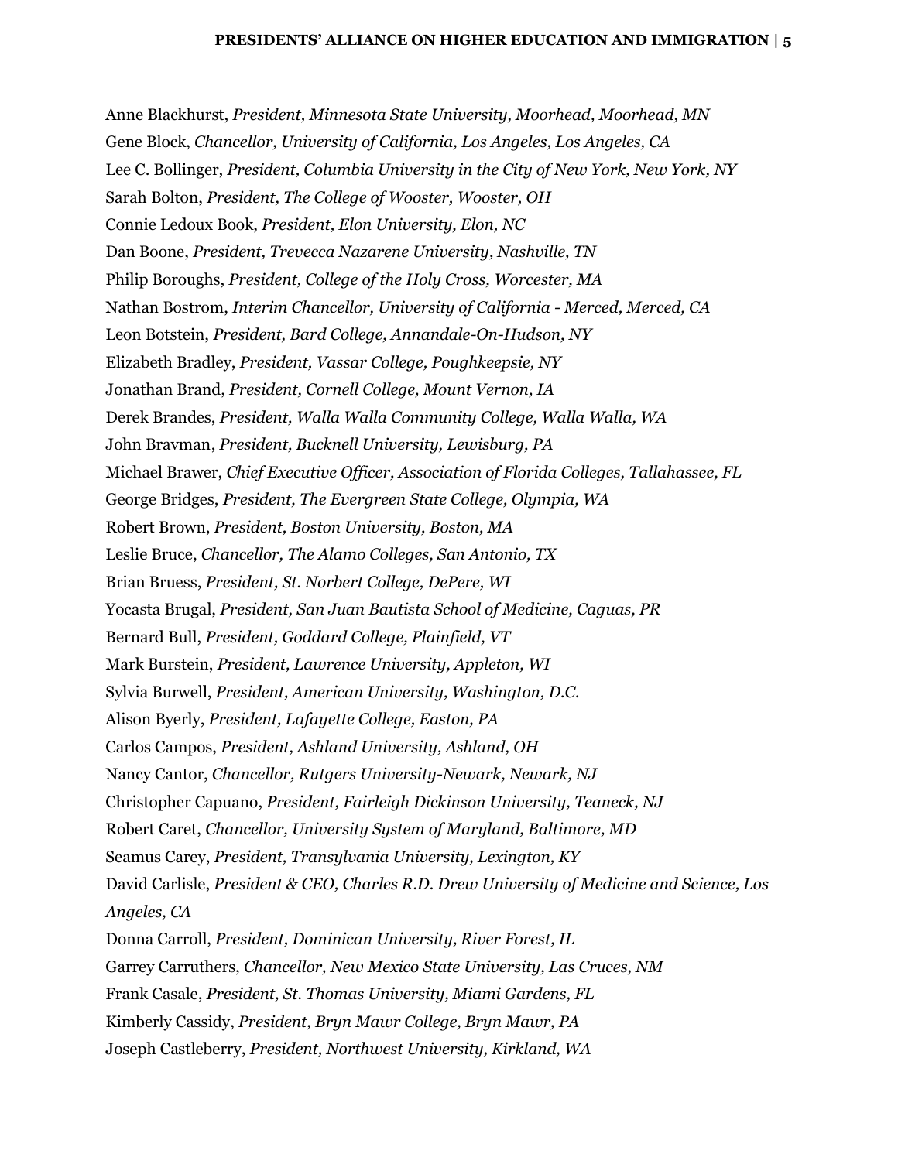Anne Blackhurst, *President, Minnesota State University, Moorhead, Moorhead, MN* Gene Block, *Chancellor, University of California, Los Angeles, Los Angeles, CA* Lee C. Bollinger, *President, Columbia University in the City of New York, New York, NY* Sarah Bolton, *President, The College of Wooster, Wooster, OH* Connie Ledoux Book, *President, Elon University, Elon, NC* Dan Boone, *President, Trevecca Nazarene University, Nashville, TN* Philip Boroughs, *President, College of the Holy Cross, Worcester, MA* Nathan Bostrom, *Interim Chancellor, University of California - Merced, Merced, CA* Leon Botstein, *President, Bard College, Annandale-On-Hudson, NY* Elizabeth Bradley, *President, Vassar College, Poughkeepsie, NY* Jonathan Brand, *President, Cornell College, Mount Vernon, IA* Derek Brandes, *President, Walla Walla Community College, Walla Walla, WA* John Bravman, *President, Bucknell University, Lewisburg, PA* Michael Brawer, *Chief Executive Officer, Association of Florida Colleges, Tallahassee, FL* George Bridges, *President, The Evergreen State College, Olympia, WA* Robert Brown, *President, Boston University, Boston, MA* Leslie Bruce, *Chancellor, The Alamo Colleges, San Antonio, TX* Brian Bruess, *President, St. Norbert College, DePere, WI* Yocasta Brugal, *President, San Juan Bautista School of Medicine, Caguas, PR* Bernard Bull, *President, Goddard College, Plainfield, VT* Mark Burstein, *President, Lawrence University, Appleton, WI* Sylvia Burwell, *President, American University, Washington, D.C.* Alison Byerly, *President, Lafayette College, Easton, PA* Carlos Campos, *President, Ashland University, Ashland, OH* Nancy Cantor, *Chancellor, Rutgers University-Newark, Newark, NJ* Christopher Capuano, *President, Fairleigh Dickinson University, Teaneck, NJ* Robert Caret, *Chancellor, University System of Maryland, Baltimore, MD* Seamus Carey, *President, Transylvania University, Lexington, KY* David Carlisle, *President & CEO, Charles R.D. Drew University of Medicine and Science, Los Angeles, CA* Donna Carroll, *President, Dominican University, River Forest, IL* Garrey Carruthers, *Chancellor, New Mexico State University, Las Cruces, NM* Frank Casale, *President, St. Thomas University, Miami Gardens, FL* Kimberly Cassidy, *President, Bryn Mawr College, Bryn Mawr, PA* Joseph Castleberry, *President, Northwest University, Kirkland, WA*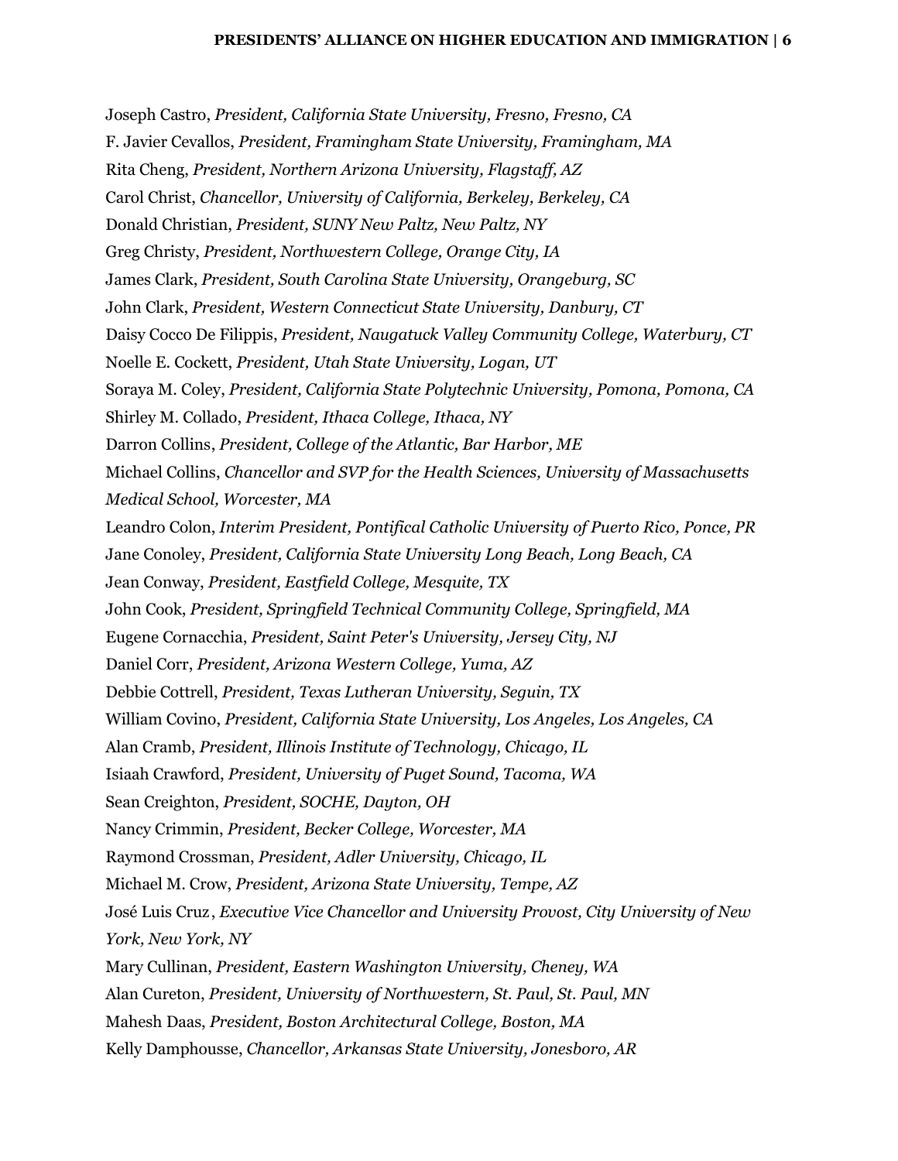Joseph Castro, *President, California State University, Fresno, Fresno, CA* F. Javier Cevallos, *President, Framingham State University, Framingham, MA* Rita Cheng, *President, Northern Arizona University, Flagstaff, AZ* Carol Christ, *Chancellor, University of California, Berkeley, Berkeley, CA* Donald Christian, *President, SUNY New Paltz, New Paltz, NY* Greg Christy, *President, Northwestern College, Orange City, IA* James Clark, *President, South Carolina State University, Orangeburg, SC* John Clark, *President, Western Connecticut State University, Danbury, CT* Daisy Cocco De Filippis, *President, Naugatuck Valley Community College, Waterbury, CT* Noelle E. Cockett, *President, Utah State University, Logan, UT* Soraya M. Coley, *President, California State Polytechnic University, Pomona, Pomona, CA* Shirley M. Collado, *President, Ithaca College, Ithaca, NY* Darron Collins, *President, College of the Atlantic, Bar Harbor, ME* Michael Collins, *Chancellor and SVP for the Health Sciences, University of Massachusetts Medical School, Worcester, MA* Leandro Colon, *Interim President, Pontifical Catholic University of Puerto Rico, Ponce, PR* Jane Conoley, *President, California State University Long Beach, Long Beach, CA* Jean Conway, *President, Eastfield College, Mesquite, TX* John Cook, *President, Springfield Technical Community College, Springfield, MA* Eugene Cornacchia, *President, Saint Peter's University, Jersey City, NJ* Daniel Corr, *President, Arizona Western College, Yuma, AZ* Debbie Cottrell, *President, Texas Lutheran University, Seguin, TX* William Covino, *President, California State University, Los Angeles, Los Angeles, CA* Alan Cramb, *President, Illinois Institute of Technology, Chicago, IL* Isiaah Crawford, *President, University of Puget Sound, Tacoma, WA* Sean Creighton, *President, SOCHE, Dayton, OH* Nancy Crimmin, *President, Becker College, Worcester, MA* Raymond Crossman, *President, Adler University, Chicago, IL* Michael M. Crow, *President, Arizona State University, Tempe, AZ* José Luis Cruz , *Executive Vice Chancellor and University Provost, City University of New York, New York, NY* Mary Cullinan, *President, Eastern Washington University, Cheney, WA* Alan Cureton, *President, University of Northwestern, St. Paul, St. Paul, MN* Mahesh Daas, *President, Boston Architectural College, Boston, MA* Kelly Damphousse, *Chancellor, Arkansas State University, Jonesboro, AR*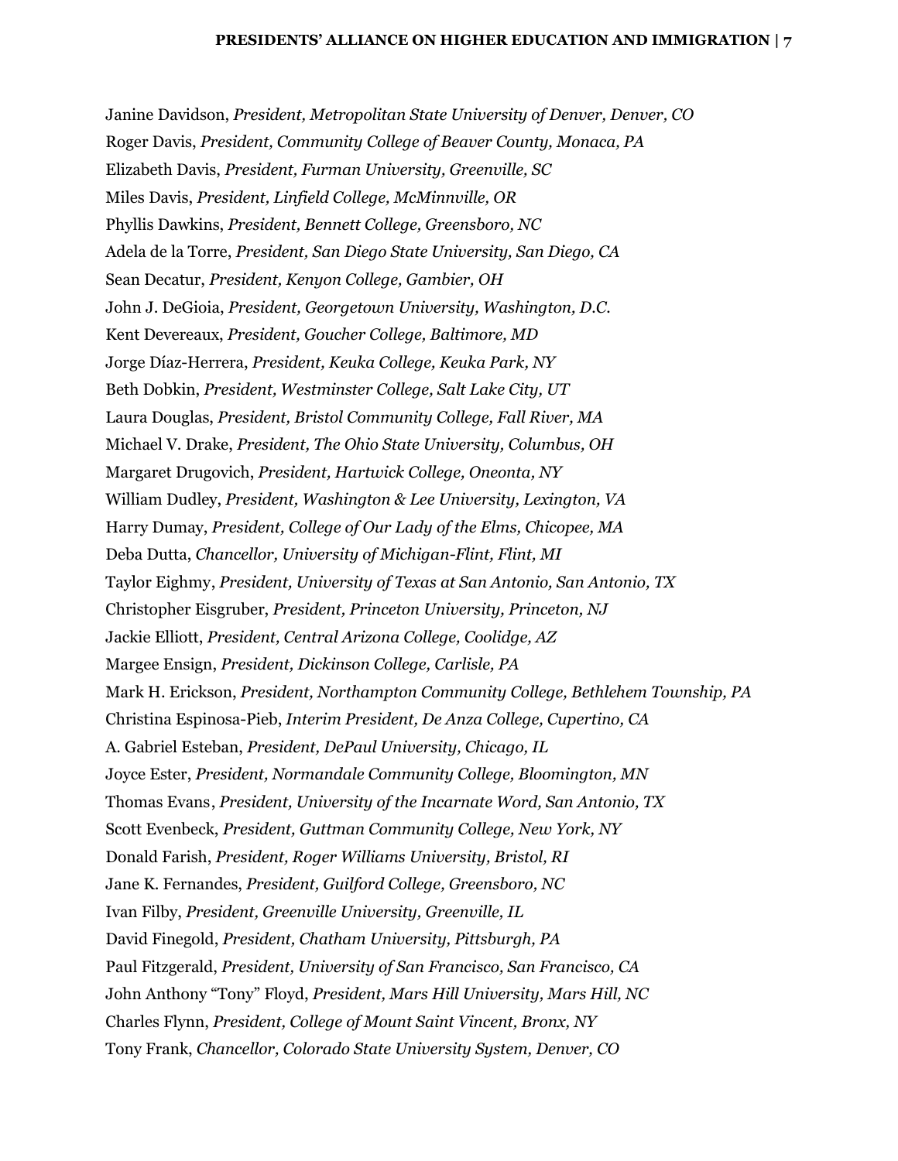Janine Davidson, *President, Metropolitan State University of Denver, Denver, CO* Roger Davis, *President, Community College of Beaver County, Monaca, PA* Elizabeth Davis, *President, Furman University, Greenville, SC* Miles Davis, *President, Linfield College, McMinnville, OR* Phyllis Dawkins, *President, Bennett College, Greensboro, NC* Adela de la Torre, *President, San Diego State University, San Diego, CA* Sean Decatur, *President, Kenyon College, Gambier, OH* John J. DeGioia, *President, Georgetown University, Washington, D.C.* Kent Devereaux, *President, Goucher College, Baltimore, MD* Jorge Díaz-Herrera, *President, Keuka College, Keuka Park, NY* Beth Dobkin, *President, Westminster College, Salt Lake City, UT* Laura Douglas, *President, Bristol Community College, Fall River, MA* Michael V. Drake, *President, The Ohio State University, Columbus, OH* Margaret Drugovich, *President, Hartwick College, Oneonta, NY* William Dudley, *President, Washington & Lee University, Lexington, VA* Harry Dumay, *President, College of Our Lady of the Elms, Chicopee, MA* Deba Dutta, *Chancellor, University of Michigan-Flint, Flint, MI* Taylor Eighmy, *President, University of Texas at San Antonio, San Antonio, TX* Christopher Eisgruber, *President, Princeton University, Princeton, NJ* Jackie Elliott, *President, Central Arizona College, Coolidge, AZ* Margee Ensign, *President, Dickinson College, Carlisle, PA* Mark H. Erickson, *President, Northampton Community College, Bethlehem Township, PA* Christina Espinosa-Pieb, *Interim President, De Anza College, Cupertino, CA* A. Gabriel Esteban, *President, DePaul University, Chicago, IL* Joyce Ester, *President, Normandale Community College, Bloomington, MN* Thomas Evans, *President, University of the Incarnate Word, San Antonio, TX* Scott Evenbeck, *President, Guttman Community College, New York, NY* Donald Farish, *President, Roger Williams University, Bristol, RI* Jane K. Fernandes, *President, Guilford College, Greensboro, NC* Ivan Filby, *President, Greenville University, Greenville, IL* David Finegold, *President, Chatham University, Pittsburgh, PA* Paul Fitzgerald, *President, University of San Francisco, San Francisco, CA* John Anthony "Tony" Floyd, *President, Mars Hill University, Mars Hill, NC* Charles Flynn, *President, College of Mount Saint Vincent, Bronx, NY* Tony Frank, *Chancellor, Colorado State University System, Denver, CO*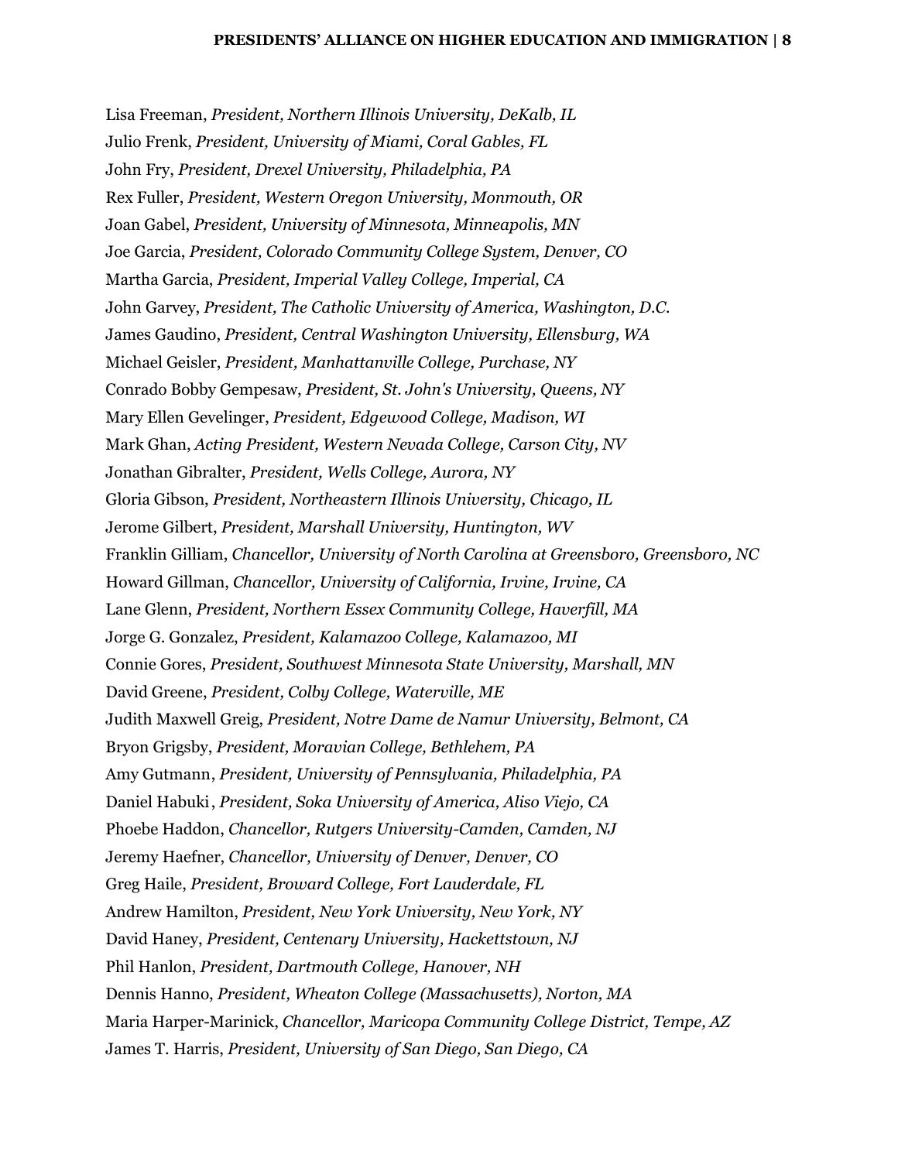Lisa Freeman, *President, Northern Illinois University, DeKalb, IL* Julio Frenk, *President, University of Miami, Coral Gables, FL* John Fry, *President, Drexel University, Philadelphia, PA* Rex Fuller, *President, Western Oregon University, Monmouth, OR* Joan Gabel, *President, University of Minnesota, Minneapolis, MN* Joe Garcia, *President, Colorado Community College System, Denver, CO* Martha Garcia, *President, Imperial Valley College, Imperial, CA* John Garvey, *President, The Catholic University of America, Washington, D.C.* James Gaudino, *President, Central Washington University, Ellensburg, WA* Michael Geisler, *President, Manhattanville College, Purchase, NY* Conrado Bobby Gempesaw, *President, St. John's University, Queens, NY* Mary Ellen Gevelinger, *President, Edgewood College, Madison, WI* Mark Ghan, *Acting President, Western Nevada College, Carson City, NV* Jonathan Gibralter, *President, Wells College, Aurora, NY* Gloria Gibson, *President, Northeastern Illinois University, Chicago, IL* Jerome Gilbert, *President, Marshall University, Huntington, WV* Franklin Gilliam, *Chancellor, University of North Carolina at Greensboro, Greensboro, NC* Howard Gillman, *Chancellor, University of California, Irvine, Irvine, CA* Lane Glenn, *President, Northern Essex Community College, Haverfill, MA* Jorge G. Gonzalez, *President, Kalamazoo College, Kalamazoo, MI* Connie Gores, *President, Southwest Minnesota State University, Marshall, MN* David Greene, *President, Colby College, Waterville, ME* Judith Maxwell Greig, *President, Notre Dame de Namur University, Belmont, CA* Bryon Grigsby, *President, Moravian College, Bethlehem, PA* Amy Gutmann, *President, University of Pennsylvania, Philadelphia, PA* Daniel Habuki, *President, Soka University of America, Aliso Viejo, CA* Phoebe Haddon, *Chancellor, Rutgers University-Camden, Camden, NJ* Jeremy Haefner, *Chancellor, University of Denver, Denver, CO* Greg Haile, *President, Broward College, Fort Lauderdale, FL* Andrew Hamilton, *President, New York University, New York, NY* David Haney, *President, Centenary University, Hackettstown, NJ* Phil Hanlon, *President, Dartmouth College, Hanover, NH* Dennis Hanno, *President, Wheaton College (Massachusetts), Norton, MA* Maria Harper-Marinick, *Chancellor, Maricopa Community College District, Tempe, AZ* James T. Harris, *President, University of San Diego, San Diego, CA*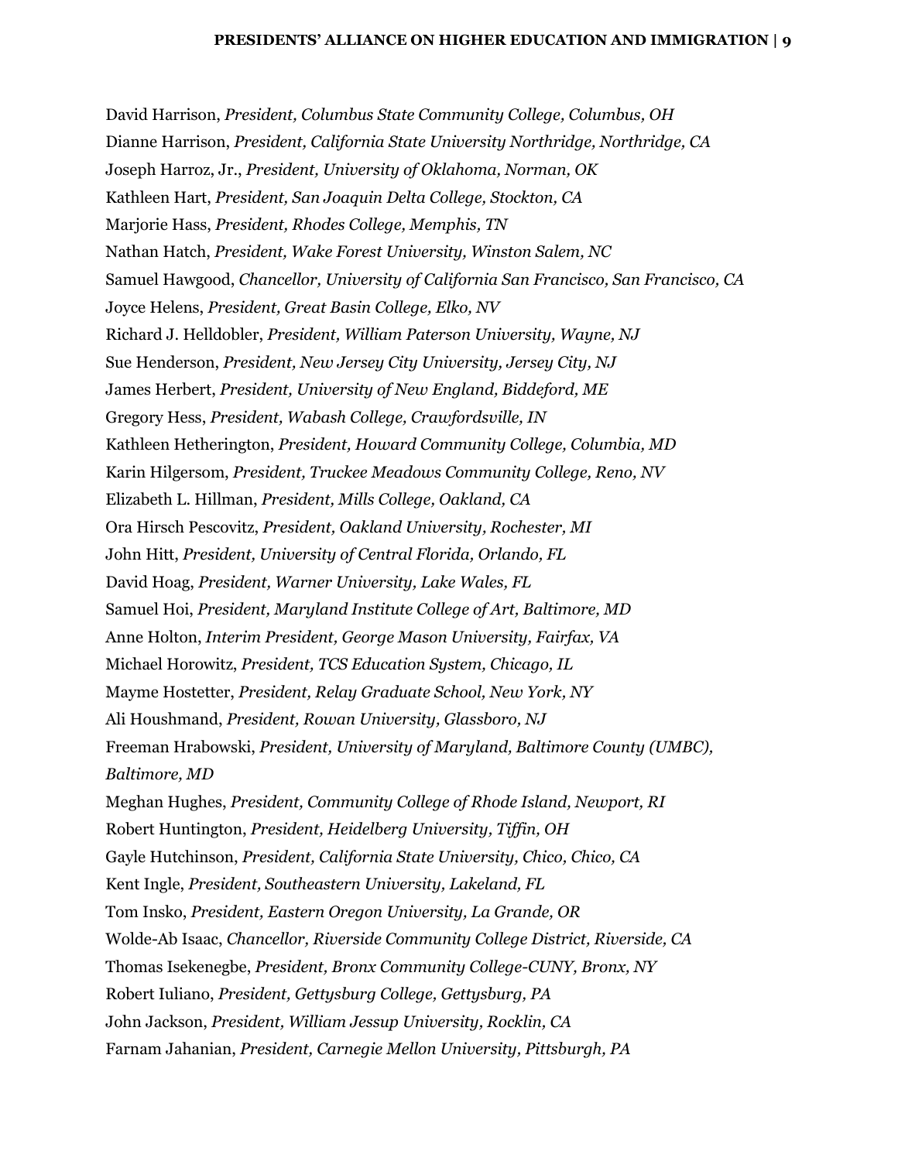David Harrison, *President, Columbus State Community College, Columbus, OH* Dianne Harrison, *President, California State University Northridge, Northridge, CA* Joseph Harroz, Jr., *President, University of Oklahoma, Norman, OK* Kathleen Hart, *President, San Joaquin Delta College, Stockton, CA* Marjorie Hass, *President, Rhodes College, Memphis, TN* Nathan Hatch, *President, Wake Forest University, Winston Salem, NC* Samuel Hawgood, *Chancellor, University of California San Francisco, San Francisco, CA* Joyce Helens, *President, Great Basin College, Elko, NV* Richard J. Helldobler, *President, William Paterson University, Wayne, NJ* Sue Henderson, *President, New Jersey City University, Jersey City, NJ* James Herbert, *President, University of New England, Biddeford, ME* Gregory Hess, *President, Wabash College, Crawfordsville, IN* Kathleen Hetherington, *President, Howard Community College, Columbia, MD* Karin Hilgersom, *President, Truckee Meadows Community College, Reno, NV* Elizabeth L. Hillman, *President, Mills College, Oakland, CA* Ora Hirsch Pescovitz, *President, Oakland University, Rochester, MI* John Hitt, *President, University of Central Florida, Orlando, FL* David Hoag, *President, Warner University, Lake Wales, FL* Samuel Hoi, *President, Maryland Institute College of Art, Baltimore, MD* Anne Holton, *Interim President, George Mason University, Fairfax, VA* Michael Horowitz, *President, TCS Education System, Chicago, IL* Mayme Hostetter, *President, Relay Graduate School, New York, NY* Ali Houshmand, *President, Rowan University, Glassboro, NJ* Freeman Hrabowski, *President, University of Maryland, Baltimore County (UMBC), Baltimore, MD* Meghan Hughes, *President, Community College of Rhode Island, Newport, RI* Robert Huntington, *President, Heidelberg University, Tiffin, OH* Gayle Hutchinson, *President, California State University, Chico, Chico, CA* Kent Ingle, *President, Southeastern University, Lakeland, FL* Tom Insko, *President, Eastern Oregon University, La Grande, OR* Wolde-Ab Isaac, *Chancellor, Riverside Community College District, Riverside, CA* Thomas Isekenegbe, *President, Bronx Community College-CUNY, Bronx, NY* Robert Iuliano, *President, Gettysburg College, Gettysburg, PA* John Jackson, *President, William Jessup University, Rocklin, CA* Farnam Jahanian, *President, Carnegie Mellon University, Pittsburgh, PA*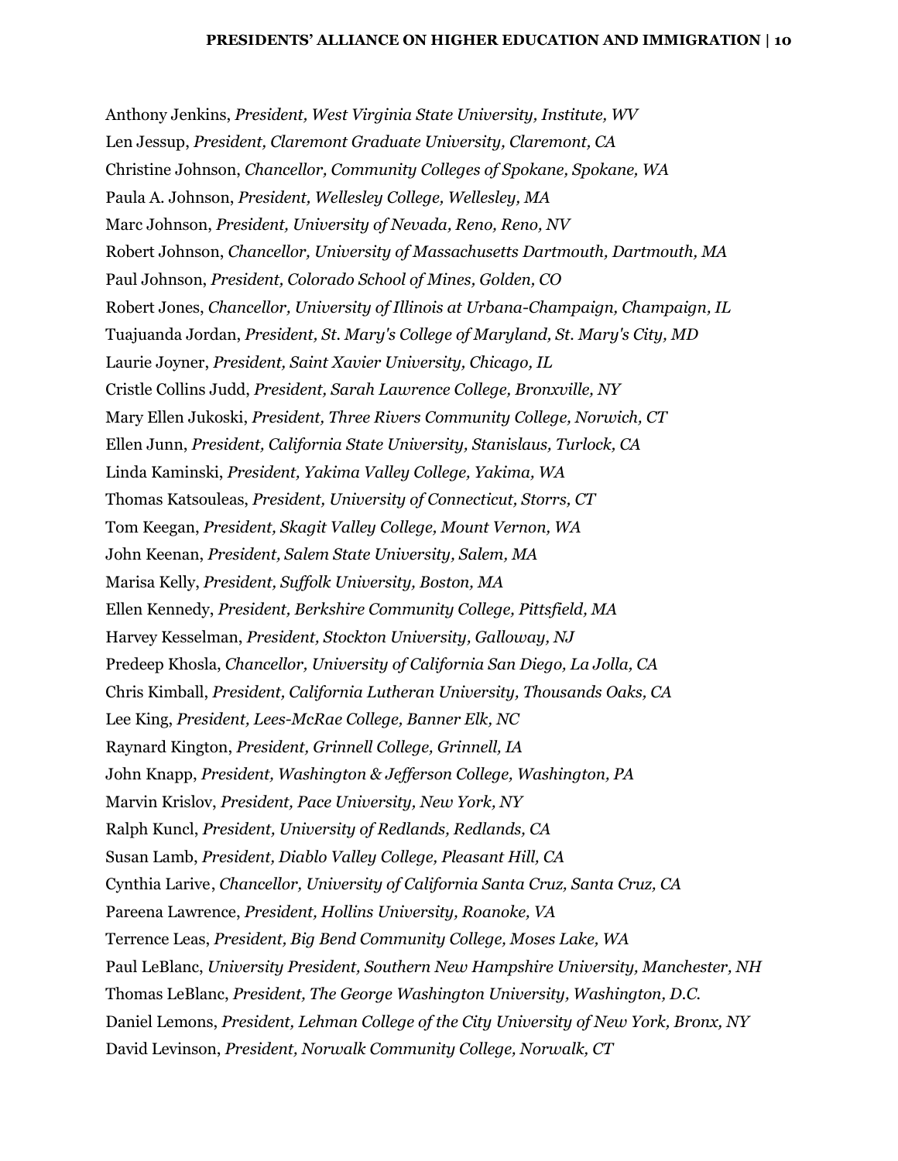Anthony Jenkins, *President, West Virginia State University, Institute, WV* Len Jessup, *President, Claremont Graduate University, Claremont, CA* Christine Johnson, *Chancellor, Community Colleges of Spokane, Spokane, WA* Paula A. Johnson, *President, Wellesley College, Wellesley, MA* Marc Johnson, *President, University of Nevada, Reno, Reno, NV* Robert Johnson, *Chancellor, University of Massachusetts Dartmouth, Dartmouth, MA* Paul Johnson, *President, Colorado School of Mines, Golden, CO* Robert Jones, *Chancellor, University of Illinois at Urbana-Champaign, Champaign, IL* Tuajuanda Jordan, *President, St. Mary's College of Maryland, St. Mary's City, MD* Laurie Joyner, *President, Saint Xavier University, Chicago, IL* Cristle Collins Judd, *President, Sarah Lawrence College, Bronxville, NY* Mary Ellen Jukoski, *President, Three Rivers Community College, Norwich, CT* Ellen Junn, *President, California State University, Stanislaus, Turlock, CA* Linda Kaminski, *President, Yakima Valley College, Yakima, WA* Thomas Katsouleas, *President, University of Connecticut, Storrs, CT* Tom Keegan, *President, Skagit Valley College, Mount Vernon, WA* John Keenan, *President, Salem State University, Salem, MA* Marisa Kelly, *President, Suffolk University, Boston, MA* Ellen Kennedy, *President, Berkshire Community College, Pittsfield, MA* Harvey Kesselman, *President, Stockton University, Galloway, NJ* Predeep Khosla, *Chancellor, University of California San Diego, La Jolla, CA* Chris Kimball, *President, California Lutheran University, Thousands Oaks, CA* Lee King, *President, Lees-McRae College, Banner Elk, NC* Raynard Kington, *President, Grinnell College, Grinnell, IA* John Knapp, *President, Washington & Jefferson College, Washington, PA* Marvin Krislov, *President, Pace University, New York, NY* Ralph Kuncl, *President, University of Redlands, Redlands, CA* Susan Lamb, *President, Diablo Valley College, Pleasant Hill, CA* Cynthia Larive, *Chancellor, University of California Santa Cruz, Santa Cruz, CA* Pareena Lawrence, *President, Hollins University, Roanoke, VA* Terrence Leas, *President, Big Bend Community College, Moses Lake, WA* Paul LeBlanc, *University President, Southern New Hampshire University, Manchester, NH* Thomas LeBlanc, *President, The George Washington University, Washington, D.C.* Daniel Lemons, *President, Lehman College of the City University of New York, Bronx, NY* David Levinson, *President, Norwalk Community College, Norwalk, CT*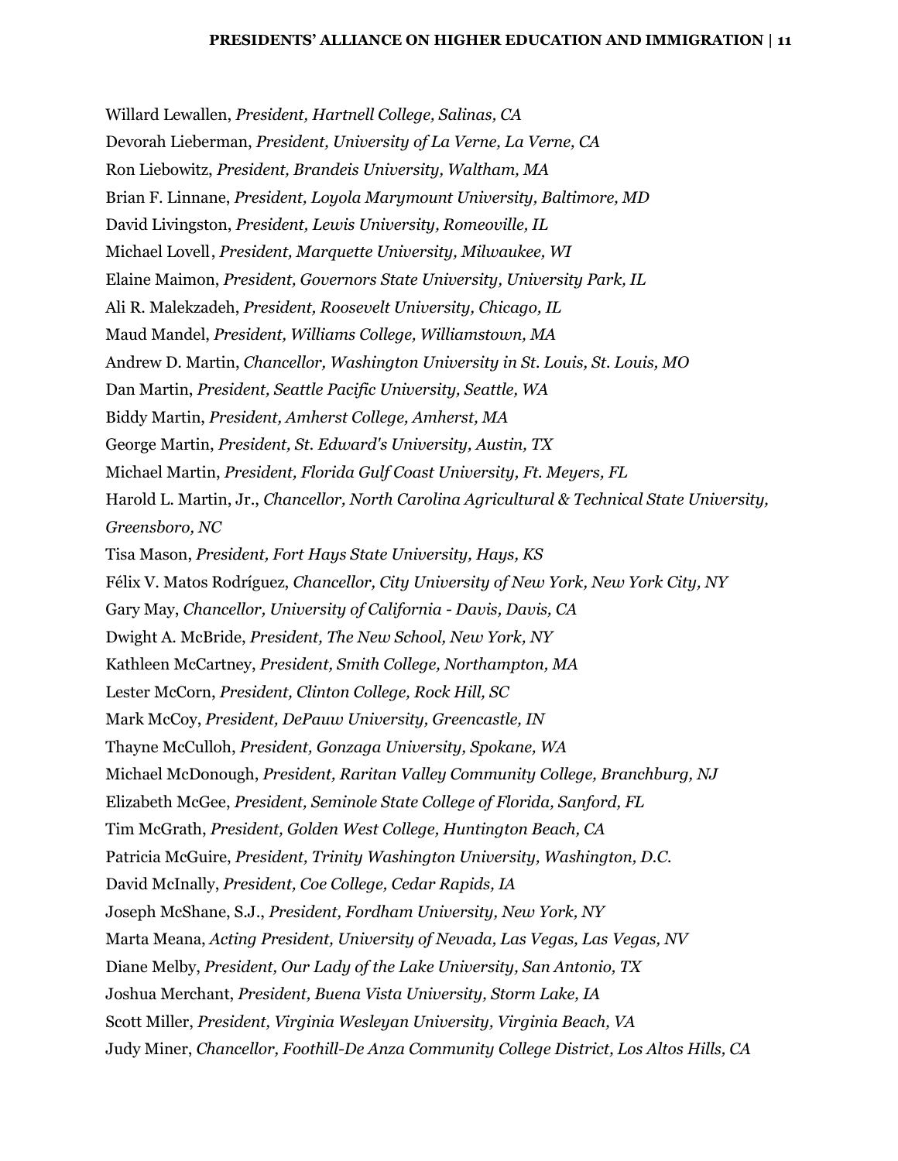Willard Lewallen, *President, Hartnell College, Salinas, CA* Devorah Lieberman, *President, University of La Verne, La Verne, CA* Ron Liebowitz, *President, Brandeis University, Waltham, MA* Brian F. Linnane, *President, Loyola Marymount University, Baltimore, MD* David Livingston, *President, Lewis University, Romeoville, IL* Michael Lovell, *President, Marquette University, Milwaukee, WI* Elaine Maimon, *President, Governors State University, University Park, IL* Ali R. Malekzadeh, *President, Roosevelt University, Chicago, IL* Maud Mandel, *President, Williams College, Williamstown, MA* Andrew D. Martin, *Chancellor, Washington University in St. Louis, St. Louis, MO* Dan Martin, *President, Seattle Pacific University, Seattle, WA* Biddy Martin, *President, Amherst College, Amherst, MA* George Martin, *President, St. Edward's University, Austin, TX* Michael Martin, *President, Florida Gulf Coast University, Ft. Meyers, FL* Harold L. Martin, Jr., *Chancellor, North Carolina Agricultural & Technical State University, Greensboro, NC* Tisa Mason, *President, Fort Hays State University, Hays, KS* Félix V. Matos Rodríguez, *Chancellor, City University of New York, New York City, NY* Gary May, *Chancellor, University of California - Davis, Davis, CA* Dwight A. McBride, *President, The New School, New York, NY* Kathleen McCartney, *President, Smith College, Northampton, MA* Lester McCorn, *President, Clinton College, Rock Hill, SC* Mark McCoy, *President, DePauw University, Greencastle, IN* Thayne McCulloh, *President, Gonzaga University, Spokane, WA* Michael McDonough, *President, Raritan Valley Community College, Branchburg, NJ* Elizabeth McGee, *President, Seminole State College of Florida, Sanford, FL* Tim McGrath, *President, Golden West College, Huntington Beach, CA* Patricia McGuire, *President, Trinity Washington University, Washington, D.C.* David McInally, *President, Coe College, Cedar Rapids, IA* Joseph McShane, S.J., *President, Fordham University, New York, NY* Marta Meana, *Acting President, University of Nevada, Las Vegas, Las Vegas, NV* Diane Melby, *President, Our Lady of the Lake University, San Antonio, TX* Joshua Merchant, *President, Buena Vista University, Storm Lake, IA* Scott Miller, *President, Virginia Wesleyan University, Virginia Beach, VA* Judy Miner, *Chancellor, Foothill-De Anza Community College District, Los Altos Hills, CA*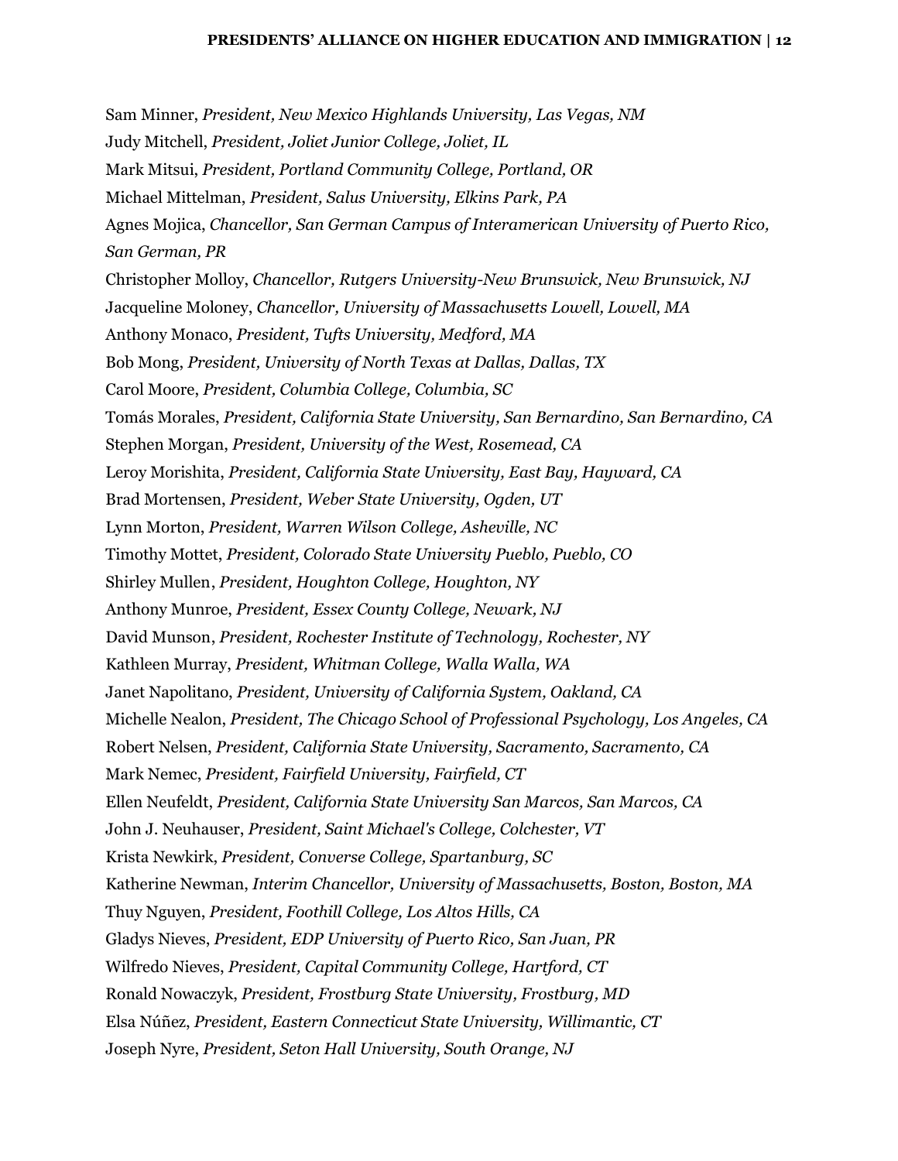Sam Minner, *President, New Mexico Highlands University, Las Vegas, NM* Judy Mitchell, *President, Joliet Junior College, Joliet, IL* Mark Mitsui, *President, Portland Community College, Portland, OR* Michael Mittelman, *President, Salus University, Elkins Park, PA* Agnes Mojica, *Chancellor, San German Campus of Interamerican University of Puerto Rico, San German, PR* Christopher Molloy, *Chancellor, Rutgers University-New Brunswick, New Brunswick, NJ* Jacqueline Moloney, *Chancellor, University of Massachusetts Lowell, Lowell, MA* Anthony Monaco, *President, Tufts University, Medford, MA* Bob Mong, *President, University of North Texas at Dallas, Dallas, TX* Carol Moore, *President, Columbia College, Columbia, SC* Tomás Morales, *President, California State University, San Bernardino, San Bernardino, CA* Stephen Morgan, *President, University of the West, Rosemead, CA* Leroy Morishita, *President, California State University, East Bay, Hayward, CA* Brad Mortensen, *President, Weber State University, Ogden, UT* Lynn Morton, *President, Warren Wilson College, Asheville, NC* Timothy Mottet, *President, Colorado State University Pueblo, Pueblo, CO* Shirley Mullen, *President, Houghton College, Houghton, NY* Anthony Munroe, *President, Essex County College, Newark, NJ* David Munson, *President, Rochester Institute of Technology, Rochester, NY* Kathleen Murray, *President, Whitman College, Walla Walla, WA* Janet Napolitano, *President, University of California System, Oakland, CA* Michelle Nealon, *President, The Chicago School of Professional Psychology, Los Angeles, CA* Robert Nelsen, *President, California State University, Sacramento, Sacramento, CA* Mark Nemec, *President, Fairfield University, Fairfield, CT* Ellen Neufeldt, *President, California State University San Marcos, San Marcos, CA* John J. Neuhauser, *President, Saint Michael's College, Colchester, VT* Krista Newkirk, *President, Converse College, Spartanburg, SC* Katherine Newman, *Interim Chancellor, University of Massachusetts, Boston, Boston, MA* Thuy Nguyen, *President, Foothill College, Los Altos Hills, CA* Gladys Nieves, *President, EDP University of Puerto Rico, San Juan, PR* Wilfredo Nieves, *President, Capital Community College, Hartford, CT* Ronald Nowaczyk, *President, Frostburg State University, Frostburg, MD* Elsa Núñez, *President, Eastern Connecticut State University, Willimantic, CT* Joseph Nyre, *President, Seton Hall University, South Orange, NJ*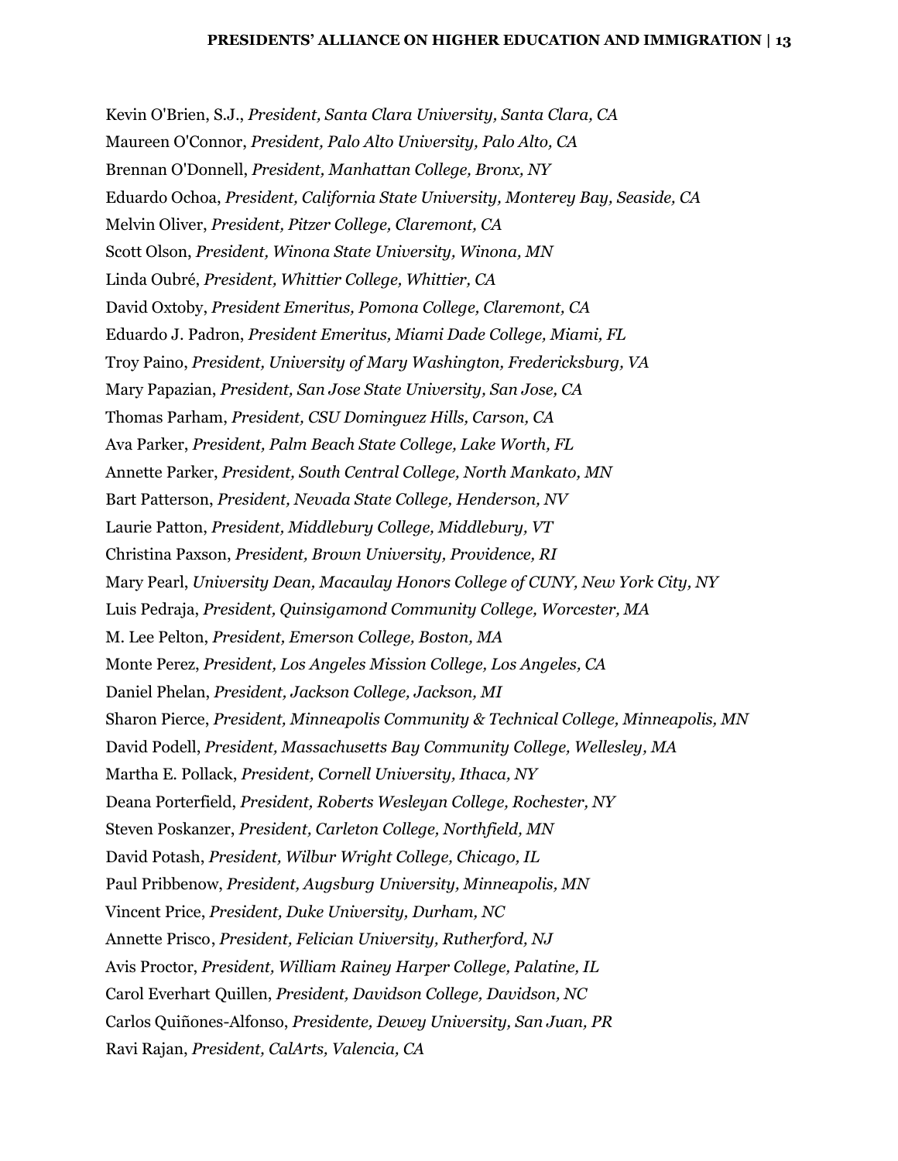Kevin O'Brien, S.J., *President, Santa Clara University, Santa Clara, CA* Maureen O'Connor, *President, Palo Alto University, Palo Alto, CA* Brennan O'Donnell, *President, Manhattan College, Bronx, NY* Eduardo Ochoa, *President, California State University, Monterey Bay, Seaside, CA* Melvin Oliver, *President, Pitzer College, Claremont, CA* Scott Olson, *President, Winona State University, Winona, MN* Linda Oubré, *President, Whittier College, Whittier, CA* David Oxtoby, *President Emeritus, Pomona College, Claremont, CA* Eduardo J. Padron, *President Emeritus, Miami Dade College, Miami, FL* Troy Paino, *President, University of Mary Washington, Fredericksburg, VA* Mary Papazian, *President, San Jose State University, San Jose, CA* Thomas Parham, *President, CSU Dominguez Hills, Carson, CA* Ava Parker, *President, Palm Beach State College, Lake Worth, FL* Annette Parker, *President, South Central College, North Mankato, MN* Bart Patterson, *President, Nevada State College, Henderson, NV* Laurie Patton, *President, Middlebury College, Middlebury, VT* Christina Paxson, *President, Brown University, Providence, RI* Mary Pearl, *University Dean, Macaulay Honors College of CUNY, New York City, NY* Luis Pedraja, *President, Quinsigamond Community College, Worcester, MA* M. Lee Pelton, *President, Emerson College, Boston, MA* Monte Perez, *President, Los Angeles Mission College, Los Angeles, CA* Daniel Phelan, *President, Jackson College, Jackson, MI* Sharon Pierce, *President, Minneapolis Community & Technical College, Minneapolis, MN* David Podell, *President, Massachusetts Bay Community College, Wellesley, MA* Martha E. Pollack, *President, Cornell University, Ithaca, NY* Deana Porterfield, *President, Roberts Wesleyan College, Rochester, NY* Steven Poskanzer, *President, Carleton College, Northfield, MN* David Potash, *President, Wilbur Wright College, Chicago, IL* Paul Pribbenow, *President, Augsburg University, Minneapolis, MN* Vincent Price, *President, Duke University, Durham, NC* Annette Prisco, *President, Felician University, Rutherford, NJ* Avis Proctor, *President, William Rainey Harper College, Palatine, IL* Carol Everhart Quillen, *President, Davidson College, Davidson, NC* Carlos Quiñones-Alfonso, *Presidente, Dewey University, San Juan, PR* Ravi Rajan, *President, CalArts, Valencia, CA*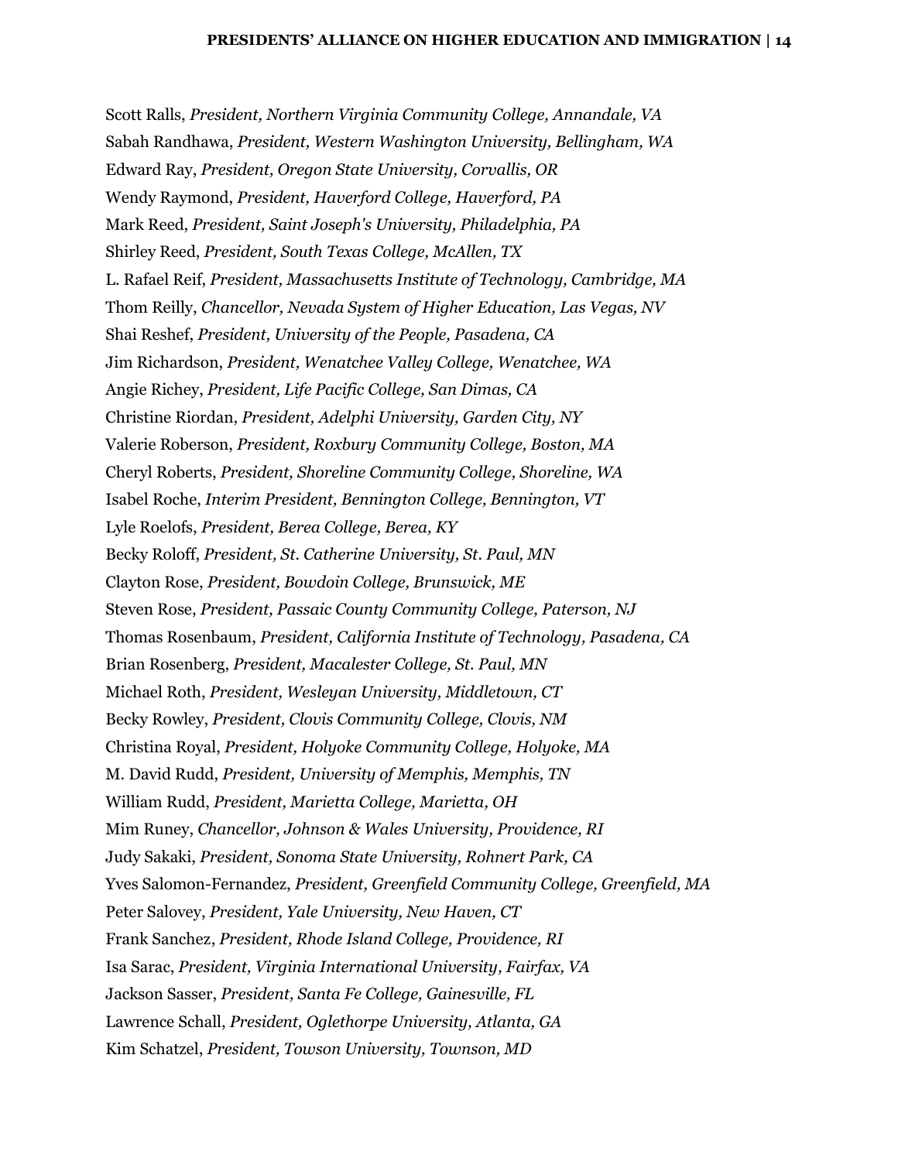Scott Ralls, *President, Northern Virginia Community College, Annandale, VA* Sabah Randhawa, *President, Western Washington University, Bellingham, WA* Edward Ray, *President, Oregon State University, Corvallis, OR* Wendy Raymond, *President, Haverford College, Haverford, PA* Mark Reed, *President, Saint Joseph's University, Philadelphia, PA* Shirley Reed, *President, South Texas College, McAllen, TX* L. Rafael Reif, *President, Massachusetts Institute of Technology, Cambridge, MA* Thom Reilly, *Chancellor, Nevada System of Higher Education, Las Vegas, NV* Shai Reshef, *President, University of the People, Pasadena, CA* Jim Richardson, *President, Wenatchee Valley College, Wenatchee, WA* Angie Richey, *President, Life Pacific College, San Dimas, CA* Christine Riordan, *President, Adelphi University, Garden City, NY* Valerie Roberson, *President, Roxbury Community College, Boston, MA* Cheryl Roberts, *President, Shoreline Community College, Shoreline, WA* Isabel Roche, *Interim President, Bennington College, Bennington, VT* Lyle Roelofs, *President, Berea College, Berea, KY* Becky Roloff, *President, St. Catherine University, St. Paul, MN* Clayton Rose, *President, Bowdoin College, Brunswick, ME* Steven Rose, *President, Passaic County Community College, Paterson, NJ* Thomas Rosenbaum, *President, California Institute of Technology, Pasadena, CA* Brian Rosenberg, *President, Macalester College, St. Paul, MN* Michael Roth, *President, Wesleyan University, Middletown, CT* Becky Rowley, *President, Clovis Community College, Clovis, NM* Christina Royal, *President, Holyoke Community College, Holyoke, MA* M. David Rudd, *President, University of Memphis, Memphis, TN* William Rudd, *President, Marietta College, Marietta, OH* Mim Runey, *Chancellor, Johnson & Wales University, Providence, RI* Judy Sakaki, *President, Sonoma State University, Rohnert Park, CA* Yves Salomon-Fernandez, *President, Greenfield Community College, Greenfield, MA* Peter Salovey, *President, Yale University, New Haven, CT* Frank Sanchez, *President, Rhode Island College, Providence, RI* Isa Sarac, *President, Virginia International University, Fairfax, VA* Jackson Sasser, *President, Santa Fe College, Gainesville, FL* Lawrence Schall, *President, Oglethorpe University, Atlanta, GA* Kim Schatzel, *President, Towson University, Townson, MD*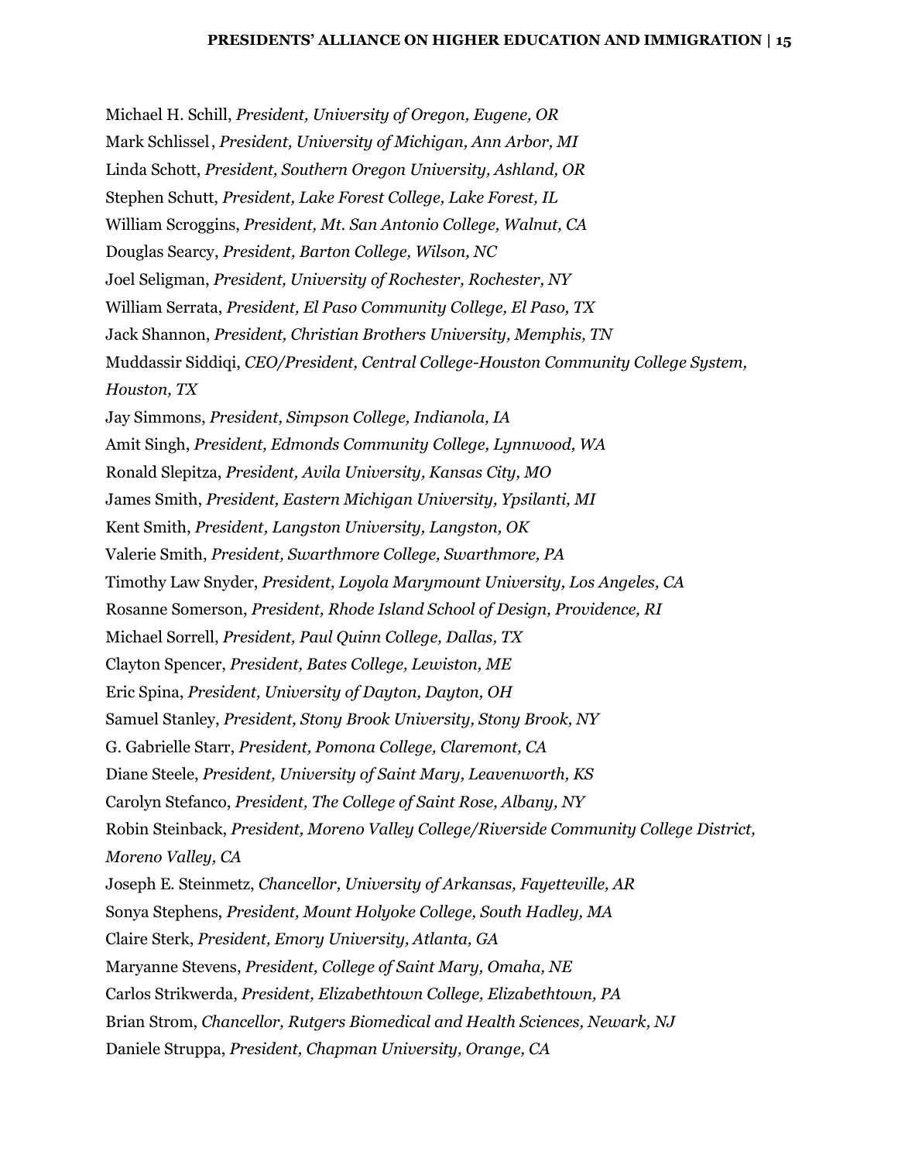Michael H. Schill, *President, University of Oregon, Eugene, OR* Mark Schlissel, *President, University of Michigan, Ann Arbor, MI* Linda Schott, *President, Southern Oregon University, Ashland, OR* Stephen Schutt, *President, Lake Forest College, Lake Forest, IL* William Scroggins, *President, Mt. San Antonio College, Walnut, CA* Douglas Searcy, *President, Barton College, Wilson, NC* Joel Seligman, *President, University of Rochester, Rochester, NY* William Serrata, *President, El Paso Community College, El Paso, TX* Jack Shannon, *President, Christian Brothers University, Memphis, TN* Muddassir Siddiqi, *CEO/President, Central College-Houston Community College System, Houston, TX* Jay Simmons, *President, Simpson College, Indianola, IA* Amit Singh, *President, Edmonds Community College, Lynnwood, WA* Ronald Slepitza, *President, Avila University, Kansas City, MO* James Smith, *President, Eastern Michigan University, Ypsilanti, MI* Kent Smith, *President, Langston University, Langston, OK* Valerie Smith, *President, Swarthmore College, Swarthmore, PA* Timothy Law Snyder, *President, Loyola Marymount University, Los Angeles, CA* Rosanne Somerson, *President, Rhode Island School of Design, Providence, RI* Michael Sorrell, *President, Paul Quinn College, Dallas, TX* Clayton Spencer, *President, Bates College, Lewiston, ME* Eric Spina, *President, University of Dayton, Dayton, OH* Samuel Stanley, *President, Stony Brook University, Stony Brook, NY* G. Gabrielle Starr, *President, Pomona College, Claremont, CA* Diane Steele, *President, University of Saint Mary, Leavenworth, KS* Carolyn Stefanco, *President, The College of Saint Rose, Albany, NY* Robin Steinback, *President, Moreno Valley College/Riverside Community College District, Moreno Valley, CA* Joseph E. Steinmetz, *Chancellor, University of Arkansas, Fayetteville, AR* Sonya Stephens, *President, Mount Holyoke College, South Hadley, MA* Claire Sterk, *President, Emory University, Atlanta, GA* Maryanne Stevens, *President, College of Saint Mary, Omaha, NE* Carlos Strikwerda, *President, Elizabethtown College, Elizabethtown, PA* Brian Strom, *Chancellor, Rutgers Biomedical and Health Sciences, Newark, NJ* Daniele Struppa, *President, Chapman University, Orange, CA*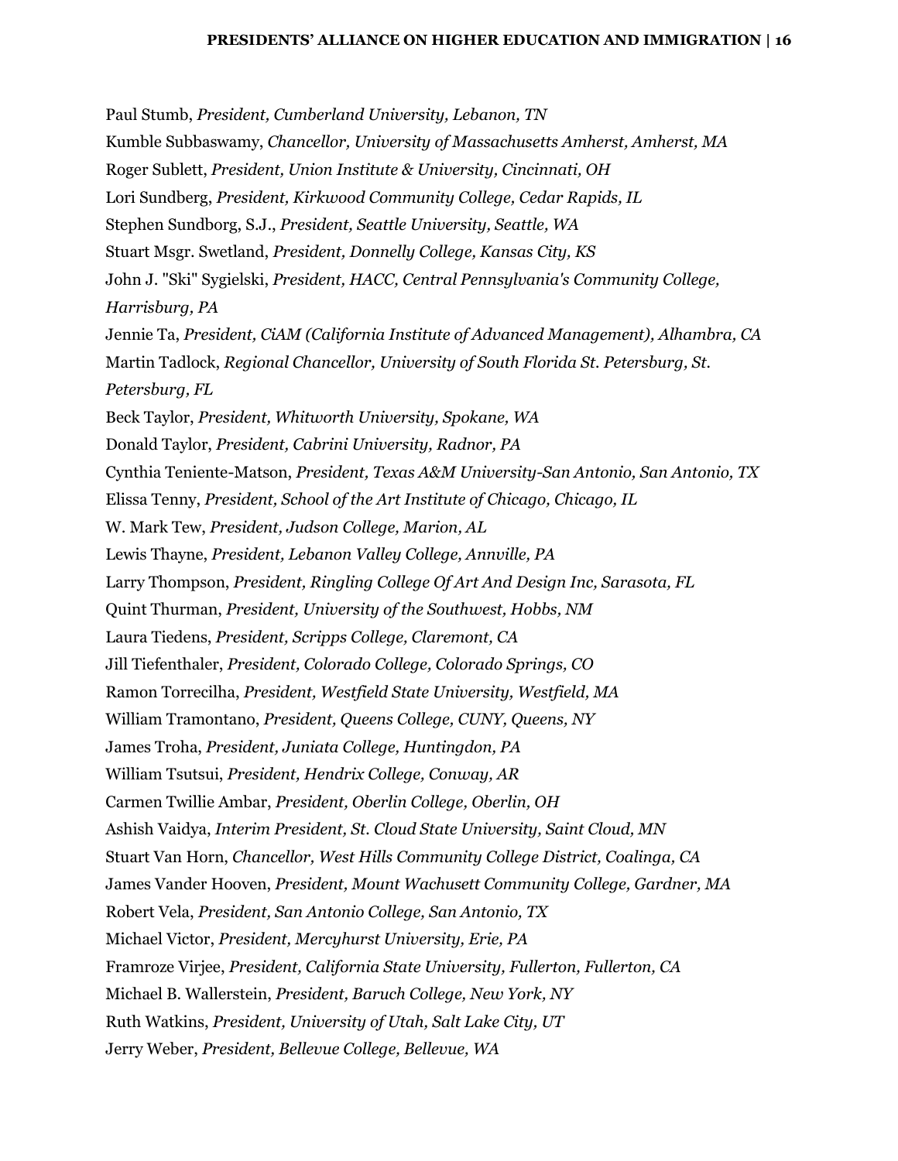Paul Stumb, *President, Cumberland University, Lebanon, TN* Kumble Subbaswamy, *Chancellor, University of Massachusetts Amherst, Amherst, MA* Roger Sublett, *President, Union Institute & University, Cincinnati, OH* Lori Sundberg, *President, Kirkwood Community College, Cedar Rapids, IL* Stephen Sundborg, S.J., *President, Seattle University, Seattle, WA* Stuart Msgr. Swetland, *President, Donnelly College, Kansas City, KS* John J. "Ski" Sygielski, *President, HACC, Central Pennsylvania's Community College, Harrisburg, PA* Jennie Ta, *President, CiAM (California Institute of Advanced Management), Alhambra, CA* Martin Tadlock, *Regional Chancellor, University of South Florida St. Petersburg, St. Petersburg, FL* Beck Taylor, *President, Whitworth University, Spokane, WA* Donald Taylor, *President, Cabrini University, Radnor, PA* Cynthia Teniente-Matson, *President, Texas A&M University-San Antonio, San Antonio, TX* Elissa Tenny, *President, School of the Art Institute of Chicago, Chicago, IL* W. Mark Tew, *President, Judson College, Marion, AL* Lewis Thayne, *President, Lebanon Valley College, Annville, PA* Larry Thompson, *President, Ringling College Of Art And Design Inc, Sarasota, FL* Quint Thurman, *President, University of the Southwest, Hobbs, NM* Laura Tiedens, *President, Scripps College, Claremont, CA* Jill Tiefenthaler, *President, Colorado College, Colorado Springs, CO* Ramon Torrecilha, *President, Westfield State University, Westfield, MA* William Tramontano, *President, Queens College, CUNY, Queens, NY* James Troha, *President, Juniata College, Huntingdon, PA* William Tsutsui, *President, Hendrix College, Conway, AR* Carmen Twillie Ambar, *President, Oberlin College, Oberlin, OH* Ashish Vaidya, *Interim President, St. Cloud State University, Saint Cloud, MN* Stuart Van Horn, *Chancellor, West Hills Community College District, Coalinga, CA* James Vander Hooven, *President, Mount Wachusett Community College, Gardner, MA* Robert Vela, *President, San Antonio College, San Antonio, TX* Michael Victor, *President, Mercyhurst University, Erie, PA* Framroze Virjee, *President, California State University, Fullerton, Fullerton, CA* Michael B. Wallerstein, *President, Baruch College, New York, NY* Ruth Watkins, *President, University of Utah, Salt Lake City, UT* Jerry Weber, *President, Bellevue College, Bellevue, WA*